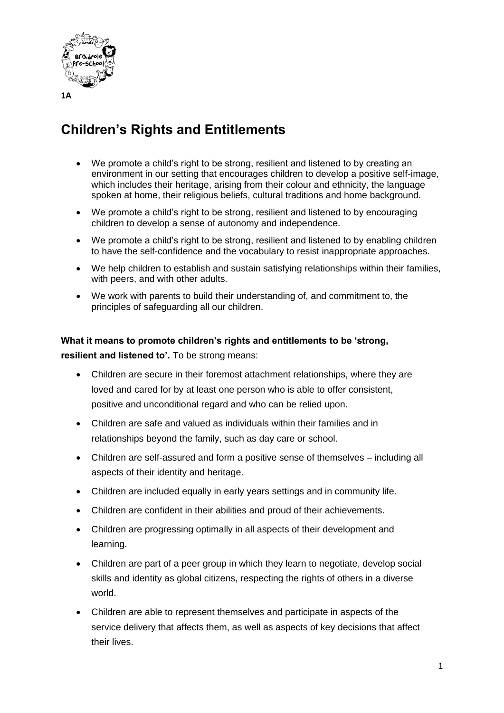

## **Children's Rights and Entitlements**

- We promote a child's right to be strong, resilient and listened to by creating an environment in our setting that encourages children to develop a positive self-image, which includes their heritage, arising from their colour and ethnicity, the language spoken at home, their religious beliefs, cultural traditions and home background.
- We promote a child's right to be strong, resilient and listened to by encouraging children to develop a sense of autonomy and independence.
- We promote a child's right to be strong, resilient and listened to by enabling children to have the self-confidence and the vocabulary to resist inappropriate approaches.
- We help children to establish and sustain satisfying relationships within their families, with peers, and with other adults.
- We work with parents to build their understanding of, and commitment to, the principles of safeguarding all our children.

## **What it means to promote children's rights and entitlements to be 'strong, resilient and listened to'.** To be strong means:

- Children are secure in their foremost attachment relationships, where they are loved and cared for by at least one person who is able to offer consistent, positive and unconditional regard and who can be relied upon.
- Children are safe and valued as individuals within their families and in relationships beyond the family, such as day care or school.
- Children are self-assured and form a positive sense of themselves including all aspects of their identity and heritage.
- Children are included equally in early years settings and in community life.
- Children are confident in their abilities and proud of their achievements.
- Children are progressing optimally in all aspects of their development and learning.
- Children are part of a peer group in which they learn to negotiate, develop social skills and identity as global citizens, respecting the rights of others in a diverse world.
- Children are able to represent themselves and participate in aspects of the service delivery that affects them, as well as aspects of key decisions that affect their lives.